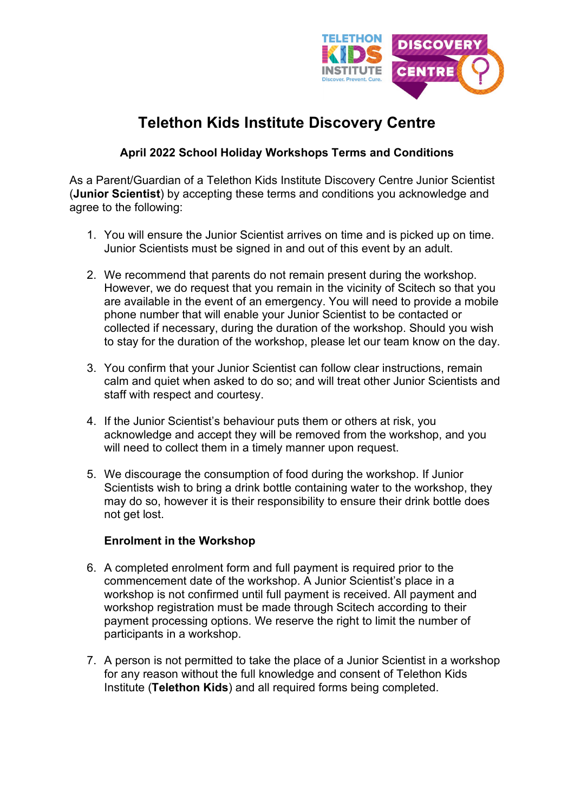

# **Telethon Kids Institute Discovery Centre**

## **April 2022 School Holiday Workshops Terms and Conditions**

As a Parent/Guardian of a Telethon Kids Institute Discovery Centre Junior Scientist (**Junior Scientist**) by accepting these terms and conditions you acknowledge and agree to the following:

- 1. You will ensure the Junior Scientist arrives on time and is picked up on time. Junior Scientists must be signed in and out of this event by an adult.
- 2. We recommend that parents do not remain present during the workshop. However, we do request that you remain in the vicinity of Scitech so that you are available in the event of an emergency. You will need to provide a mobile phone number that will enable your Junior Scientist to be contacted or collected if necessary, during the duration of the workshop. Should you wish to stay for the duration of the workshop, please let our team know on the day.
- 3. You confirm that your Junior Scientist can follow clear instructions, remain calm and quiet when asked to do so; and will treat other Junior Scientists and staff with respect and courtesy.
- 4. If the Junior Scientist's behaviour puts them or others at risk, you acknowledge and accept they will be removed from the workshop, and you will need to collect them in a timely manner upon request.
- 5. We discourage the consumption of food during the workshop. If Junior Scientists wish to bring a drink bottle containing water to the workshop, they may do so, however it is their responsibility to ensure their drink bottle does not get lost.

## **Enrolment in the Workshop**

- 6. A completed enrolment form and full payment is required prior to the commencement date of the workshop. A Junior Scientist's place in a workshop is not confirmed until full payment is received. All payment and workshop registration must be made through Scitech according to their payment processing options. We reserve the right to limit the number of participants in a workshop.
- 7. A person is not permitted to take the place of a Junior Scientist in a workshop for any reason without the full knowledge and consent of Telethon Kids Institute (**Telethon Kids**) and all required forms being completed.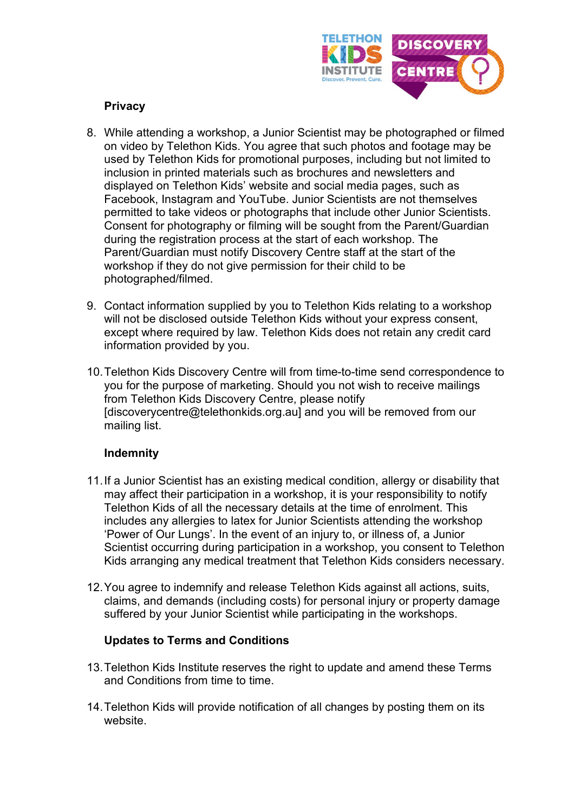

## **Privacy**

- 8. While attending a workshop, a Junior Scientist may be photographed or filmed on video by Telethon Kids. You agree that such photos and footage may be used by Telethon Kids for promotional purposes, including but not limited to inclusion in printed materials such as brochures and newsletters and displayed on Telethon Kids' website and social media pages, such as Facebook, Instagram and YouTube. Junior Scientists are not themselves permitted to take videos or photographs that include other Junior Scientists. Consent for photography or filming will be sought from the Parent/Guardian during the registration process at the start of each workshop. The Parent/Guardian must notify Discovery Centre staff at the start of the workshop if they do not give permission for their child to be photographed/filmed.
- 9. Contact information supplied by you to Telethon Kids relating to a workshop will not be disclosed outside Telethon Kids without your express consent, except where required by law. Telethon Kids does not retain any credit card information provided by you.
- 10.Telethon Kids Discovery Centre will from time-to-time send correspondence to you for the purpose of marketing. Should you not wish to receive mailings from Telethon Kids Discovery Centre, please notify [discoverycentre@telethonkids.org.au] and you will be removed from our mailing list.

## **Indemnity**

- 11.If a Junior Scientist has an existing medical condition, allergy or disability that may affect their participation in a workshop, it is your responsibility to notify Telethon Kids of all the necessary details at the time of enrolment. This includes any allergies to latex for Junior Scientists attending the workshop 'Power of Our Lungs'. In the event of an injury to, or illness of, a Junior Scientist occurring during participation in a workshop, you consent to Telethon Kids arranging any medical treatment that Telethon Kids considers necessary.
- 12.You agree to indemnify and release Telethon Kids against all actions, suits, claims, and demands (including costs) for personal injury or property damage suffered by your Junior Scientist while participating in the workshops.

## **Updates to Terms and Conditions**

- 13.Telethon Kids Institute reserves the right to update and amend these Terms and Conditions from time to time.
- 14.Telethon Kids will provide notification of all changes by posting them on its website.